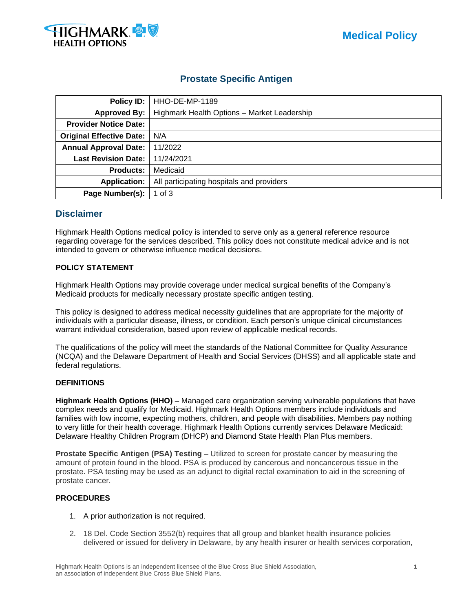



# **Prostate Specific Antigen**

| Policy ID:                      | HHO-DE-MP-1189                              |  |
|---------------------------------|---------------------------------------------|--|
| <b>Approved By:</b>             | Highmark Health Options - Market Leadership |  |
| <b>Provider Notice Date:</b>    |                                             |  |
| <b>Original Effective Date:</b> | N/A                                         |  |
| <b>Annual Approval Date:</b>    | 11/2022                                     |  |
| <b>Last Revision Date:</b>      | 11/24/2021                                  |  |
| <b>Products:</b>                | Medicaid                                    |  |
| <b>Application:</b>             | All participating hospitals and providers   |  |
| Page Number(s):                 | 1 of $3$                                    |  |

# **Disclaimer**

Highmark Health Options medical policy is intended to serve only as a general reference resource regarding coverage for the services described. This policy does not constitute medical advice and is not intended to govern or otherwise influence medical decisions.

# **POLICY STATEMENT**

Highmark Health Options may provide coverage under medical surgical benefits of the Company's Medicaid products for medically necessary prostate specific antigen testing.

This policy is designed to address medical necessity guidelines that are appropriate for the majority of individuals with a particular disease, illness, or condition. Each person's unique clinical circumstances warrant individual consideration, based upon review of applicable medical records.

The qualifications of the policy will meet the standards of the National Committee for Quality Assurance (NCQA) and the Delaware Department of Health and Social Services (DHSS) and all applicable state and federal regulations.

# **DEFINITIONS**

**Highmark Health Options (HHO)** – Managed care organization serving vulnerable populations that have complex needs and qualify for Medicaid. Highmark Health Options members include individuals and families with low income, expecting mothers, children, and people with disabilities. Members pay nothing to very little for their health coverage. Highmark Health Options currently services Delaware Medicaid: Delaware Healthy Children Program (DHCP) and Diamond State Health Plan Plus members.

**Prostate Specific Antigen (PSA) Testing** – Utilized to screen for prostate cancer by measuring the amount of protein found in the blood. PSA is produced by cancerous and noncancerous tissue in the prostate. PSA testing may be used as an adjunct to digital rectal examination to aid in the screening of prostate cancer.

# **PROCEDURES**

- 1. A prior authorization is not required.
- 2. 18 Del. Code Section 3552(b) requires that all group and blanket health insurance policies delivered or issued for delivery in Delaware, by any health insurer or health services corporation,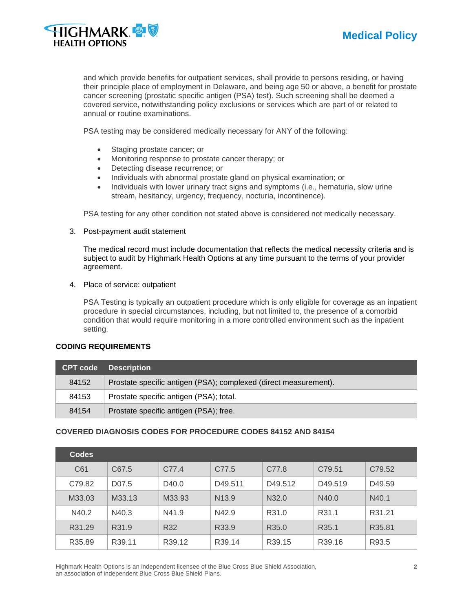

and which provide benefits for outpatient services, shall provide to persons residing, or having their principle place of employment in Delaware, and being age 50 or above, a benefit for prostate cancer screening (prostatic specific antigen (PSA) test). Such screening shall be deemed a covered service, notwithstanding policy exclusions or services which are part of or related to annual or routine examinations.

PSA testing may be considered medically necessary for ANY of the following:

- Staging prostate cancer; or
- Monitoring response to prostate cancer therapy; or
- Detecting disease recurrence; or
- Individuals with abnormal prostate gland on physical examination; or
- Individuals with lower urinary tract signs and symptoms (i.e., hematuria, slow urine stream, hesitancy, urgency, frequency, nocturia, incontinence).

PSA testing for any other condition not stated above is considered not medically necessary.

3. Post-payment audit statement

The medical record must include documentation that reflects the medical necessity criteria and is subject to audit by Highmark Health Options at any time pursuant to the terms of your provider agreement.

4. Place of service: outpatient

PSA Testing is typically an outpatient procedure which is only eligible for coverage as an inpatient procedure in special circumstances, including, but not limited to, the presence of a comorbid condition that would require monitoring in a more controlled environment such as the inpatient setting.

#### **CODING REQUIREMENTS**

| <b>CPT code</b> | <b>Description</b>                                               |
|-----------------|------------------------------------------------------------------|
| 84152           | Prostate specific antigen (PSA); complexed (direct measurement). |
| 84153           | Prostate specific antigen (PSA); total.                          |
| 84154           | Prostate specific antigen (PSA); free.                           |

# **COVERED DIAGNOSIS CODES FOR PROCEDURE CODES 84152 AND 84154**

| <b>Codes</b> |                    |                    |                   |                   |                     |        |
|--------------|--------------------|--------------------|-------------------|-------------------|---------------------|--------|
| C61          | C67.5              | C77.4              | C77.5             | C77.8             | C79.51              | C79.52 |
| C79.82       | D <sub>0</sub> 7.5 | D40.0              | D49.511           | D49.512           | D <sub>49.519</sub> | D49.59 |
| M33.03       | M33.13             | M33.93             | N <sub>13.9</sub> | N32.0             | N40.0               | N40.1  |
| N40.2        | N40.3              | N41.9              | N42.9             | R31.0             | R <sub>31.1</sub>   | R31.21 |
| R31.29       | R31.9              | R32                | R33.9             | R <sub>35.0</sub> | R <sub>35.1</sub>   | R35.81 |
| R35.89       | R39.11             | R <sub>39.12</sub> | R39.14            | R39.15            | R39.16              | R93.5  |

Highmark Health Options is an independent licensee of the Blue Cross Blue Shield Association, **2** an association of independent Blue Cross Blue Shield Plans.